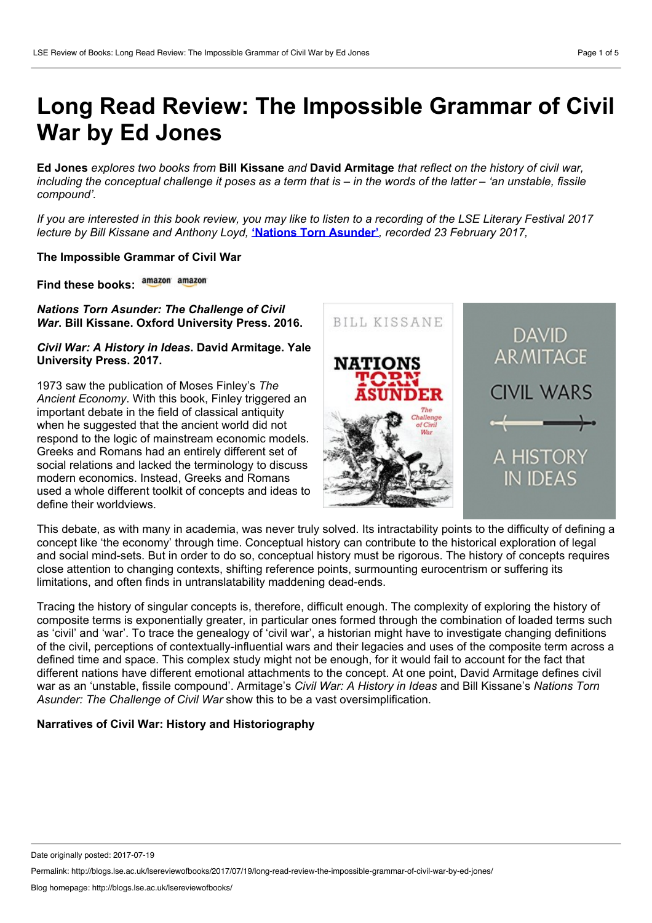# **Long Read Review: The Impossible Grammar of Civil War by Ed Jones**

Ed Jones explores two books from Bill Kissane and David Armitage that reflect on the history of civil war. including the conceptual challenge it poses as a term that is  $-$  in the words of the latter  $-$  'an unstable, fissile *compound'.*

If you are interested in this book review, you may like to listen to a recording of the LSE Literary Festival 2017 *lecture by Bill Kissane and Anthony Loyd,* **'Nations Torn [Asunder'](http://www.lse.ac.uk/website-archive/newsAndMedia/videoAndAudio/channels/publicLecturesAndEvents/player.aspx?id=3750)***, recorded 23 February 2017,*

### **The Impossible Grammar of Civil War**

**Find these books:**

*Nations Torn Asunder: The Challenge of Civil War***. Bill Kissane. Oxford University Press. 2016.**

### *Civil War: A History in Ideas***.David Armitage. Yale University Press. 2017.**

1973 saw the publication of Moses Finley's *The Ancient Economy*. With this book, Finley triggered an important debate in the field of classical antiquity when he suggested that the ancient world did not respond to the logic of mainstream economic models. Greeks and Romans had an entirely different set of social relations and lacked the terminology to discuss modern economics. Instead, Greeks and Romans used a whole different toolkit of concepts and ideas to define their worldviews.



This debate, as with many in academia, was never truly solved. Its intractability points to the difficulty of defining a concept like 'the economy' through time. Conceptual history can contribute to the historical exploration of legal and social mind-sets. But in order to do so, conceptual history must be rigorous. The history of concepts requires close attention to changing contexts, shifting reference points, surmounting eurocentrism or suffering its limitations, and often finds in untranslatability maddening dead-ends.

Tracing the history of singular concepts is, therefore, difficult enough. The complexity of exploring the history of composite terms is exponentially greater, in particular ones formed through the combination of loaded terms such as 'civil' and 'war'. To trace the genealogy of 'civil war', a historian might have to investigate changing definitions of the civil, perceptions of contextually-influential wars and their legacies and uses of the composite term across a defined time and space. This complex study might not be enough, for it would fail to account for the fact that different nations have different emotional attachments to the concept. At one point, David Armitage defines civil war as an 'unstable, fissile compound'. Armitage's *Civil War: A History in Ideas* and Bill Kissane's *Nations Torn Asunder: The Challenge of Civil War* show this to be a vast oversimplification.

# **Narratives of Civil War: History and Historiography**

Permalink: http://blogs.lse.ac.uk/lsereviewofbooks/2017/07/19/long-read-review-the-impossible-grammar-of-civil-war-by-ed-jones/

Date originally posted: 2017-07-19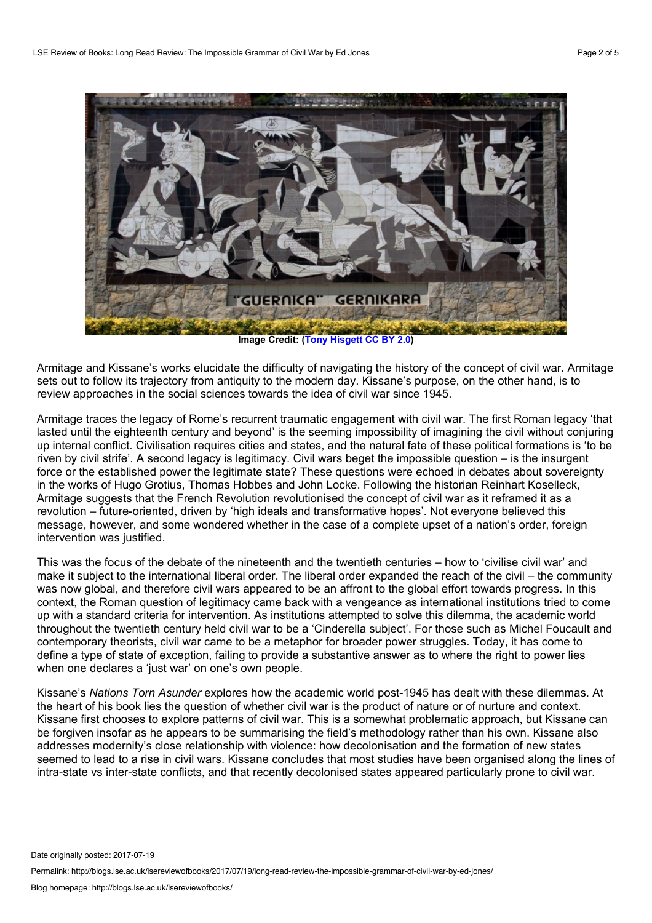

**Image Credit:(Tony [Hisgett](https://www.flickr.com/photos/hisgett/3820712635/) CC BY 2.0)**

Armitage and Kissane's works elucidate the difficulty of navigating the history ofthe concept of civil war. Armitage sets out to follow its trajectory from antiquity to the modern day. Kissane's purpose, on the other hand, is to review approaches in the social sciences towards the idea of civil war since 1945.

Armitage traces the legacy of Rome's recurrent traumatic engagement with civil war. The first Roman legacy 'that lasted until the eighteenth century and beyond' is the seeming impossibility of imagining the civil without conjuring up internal conflict. Civilisation requires cities and states, and the natural fate of these political formations is 'to be riven by civil strife'. A second legacy is legitimacy. Civil wars beget the impossible question – is the insurgent force or the established power the legitimate state? These questions were echoed in debates about sovereignty in the works of Hugo Grotius, Thomas Hobbes and John Locke. Following the historian Reinhart Koselleck, Armitage suggests that the French Revolution revolutionised the concept of civil war as it reframed it as a revolution – future-oriented, driven by 'high ideals and transformative hopes'. Not everyone believed this message, however, and some wondered whether in the case of a complete upset of a nation's order, foreign intervention was justified.

This was the focus of the debate of the nineteenth and the twentieth centuries – how to 'civilise civil war' and make it subject to the international liberal order. The liberal order expanded the reach of the civil – the community was now global, and therefore civil wars appeared to be an affront to the global effort towards progress. In this context, the Roman question of legitimacy came back with a vengeance as international institutions tried to come up with a standard criteria for intervention. As institutions attempted to solve this dilemma, the academic world throughout the twentieth century held civil war to be a 'Cinderella subject'. For those such as Michel Foucault and contemporary theorists, civil war came to be a metaphor for broader power struggles. Today, it has come to define a type of state of exception, failing to provide a substantive answer as to where the right to power lies when one declares a 'just war' on one's own people.

Kissane's *Nations Torn Asunder* explores how the academic world post-1945 has dealtwith these dilemmas. At the heart of his book lies the question of whether civil war is the product of nature or of nurture and context. Kissane first chooses to explore patterns of civil war. This is a somewhat problematic approach, but Kissane can be forgiven insofar as he appears to be summarising the field's methodology rather than his own. Kissane also addresses modernity's close relationship with violence: how decolonisation and the formation of new states seemed to lead to a rise in civil wars. Kissane concludes that most studies have been organised along the lines of intra-state vs inter-state conflicts, and that recently decolonised states appeared particularly prone to civil war.

Date originally posted: 2017-07-19

Permalink: http://blogs.lse.ac.uk/lsereviewofbooks/2017/07/19/long-read-review-the-impossible-grammar-of-civil-war-by-ed-jones/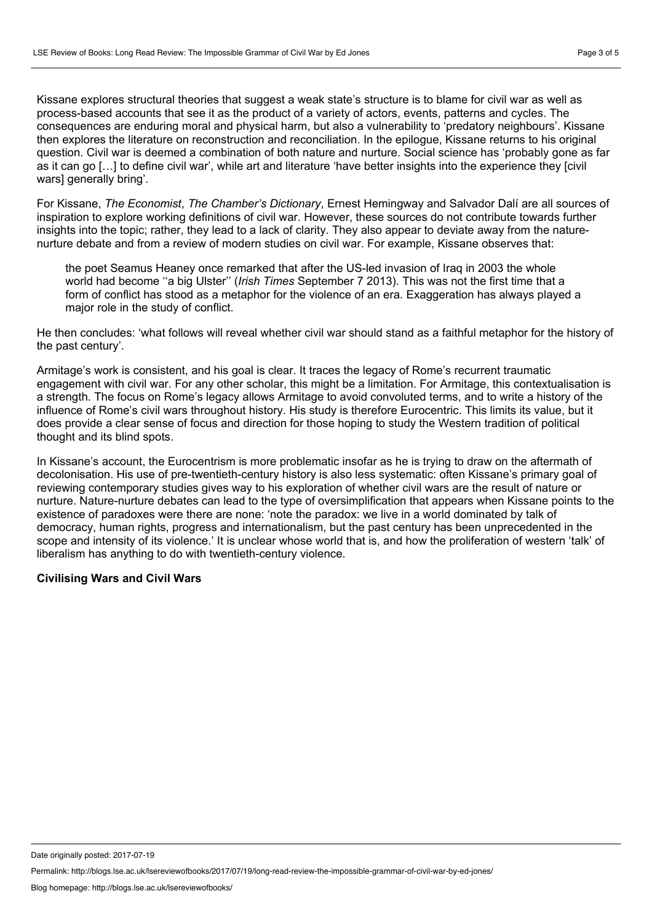Kissane explores structural theories that suggest a weak state's structure is to blame for civil war as well as process-based accounts that see it as the product of a variety of actors, events, patterns and cycles. The consequences are enduring moral and physical harm, but also a vulnerability to 'predatory neighbours'. Kissane then explores the literature on reconstruction and reconciliation. In the epilogue, Kissane returns to his original question. Civil war is deemed a combination of both nature and nurture. Social science has 'probably gone as far as it can go […] to define civil war', while art and literature 'have better insights into the experience they [civil wars] generally bring'.

For Kissane, *The Economist*, *The Chamber's Dictionary*, Ernest Hemingway and Salvador Dalí are all sources of inspiration to explore working definitions of civil war. However, these sources do not contribute towards further insights into the topic; rather, they lead to a lack of clarity. They also appear to deviate away from the nature-<br>nurture debate and from a review of modern studies on civil war. For example, Kissane observes that:

the poet Seamus Heaney once remarked that after the US-led invasion of Iraq in 2003 the whole world had become ''a big Ulster'' (*Irish Times* September 7 2013). This was not the first time that a form of conflict has stood as a metaphor for the violence of an era. Exaggeration has always played a major role in the study of conflict.

He then concludes: 'what follows will reveal whether civil war should stand as a faithful metaphor for the history of the past century'.

Armitage's work is consistent, and his goal is clear. It traces the legacy of Rome's recurrent traumatic engagement with civil war. For any other scholar, this might be a limitation. For Armitage, this contextualisation is a strength. The focus on Rome's legacy allows Armitage to avoid convoluted terms, and to write a history of the influence of Rome's civil wars throughout history. His study is therefore Eurocentric. This limits its value, but it does provide a clear sense of focus and direction for those hoping to study the Western tradition of political thought and its blind spots.

In Kissane's account, the Eurocentrism is more problematic insofar as he is trying to draw on the aftermath of decolonisation. His use of pre-twentieth-century history is also less systematic: often Kissane's primary goal of reviewing contemporary studies gives way to his exploration of whether civil wars are the result of nature or nurture. Nature-nurture debates can lead to the type of oversimplification that appears when Kissane points to the existence of paradoxes were there are none: 'note the paradox: we live in a world dominated by talk of democracy, human rights, progress and internationalism, but the past century has been unprecedented in the scope and intensity of its violence.' It is unclear whose world that is, and how the proliferation of western 'talk' of liberalism has anything to do with twentieth-century violence.

# **Civilising Wars and Civil Wars**

Date originally posted: 2017-07-19

Permalink: http://blogs.lse.ac.uk/lsereviewofbooks/2017/07/19/long-read-review-the-impossible-grammar-of-civil-war-by-ed-jones/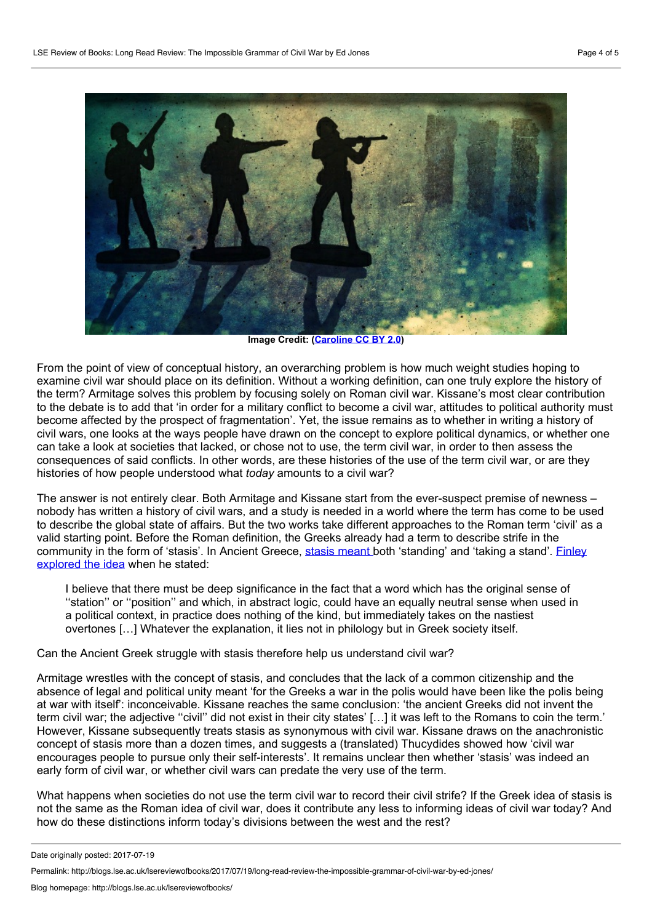

**Image Credit:[\(Caroline](https://www.flickr.com/photos/hills_alive/4345648475/) CC BY 2.0)**

From the point of view of conceptual history, an overarching problem is how much weight studies hoping to examine civil war should place on its definition. Without a working definition, can one truly explore the history of the term? Armitage solves this problem by focusing solely on Roman civil war. Kissane's most clear contribution to the debate is to add that 'in order for a military conflict to become a civil war, attitudes to political authority must become affected by the prospect of fragmentation'. Yet, the issue remains as to whether in writing a history of civil wars, one looks at the ways people have drawn on the concept to explore political dynamics, or whether one can take a look at societies that lacked, or chose not to use, the term civil war, in order to then assess the consequences of said conflicts. In other words, are these histories of the use of the term civil war, or are they histories of how people understood what *today* amounts to a civil war?

The answer is not entirely clear. Both Armitage and Kissane start from the ever-suspect premise of newness – nobody has written a history of civil wars, and a study is needed in a world where the term has come to be used to describe the global state of affairs. But the two works take different approaches to the Roman term 'civil' as a valid starting point. Before the Roman definition, the Greeks already had a term to describe strife in the [community](https://www.jstor.org/stable/649993?seq=1 - page_scan_tab_contents) in the form of 'stasis'. In Ancient Greece, stasis [meant](http://onlinelibrary.wiley.com/doi/10.1002/9781444338386.wbeah04297/full) both 'standing' and 'taking a stand'. Einley explored the idea when he stated:

I believe that there must be deep significance in the fact that a word which has the original sense of ''station'' or ''position'' and which, in abstract logic, could have an equally neutral sense when used in a political context, in practice does nothing of the kind, but immediately takes on the nastiest overtones […] Whatever the explanation, it lies not in philology but in Greek society itself.

Can the Ancient Greek struggle with stasis therefore help us understand civil war?

Armitage wrestles with the concept of stasis, and concludes that the lack of a common citizenship and the absence of legal and political unity meant 'for the Greeks a war in the polis would have been like the polis being at war with itself': inconceivable. Kissane reaches the same conclusion: 'the ancient Greeks did not invent the term civil war; the adjective "civil" did not exist in their city states' [...] it was left to the Romans to coin the term.' However, Kissane subsequently treats stasis as synonymous with civil war. Kissane draws on the anachronistic concept of stasis more than a dozen times, and suggests a (translated) Thucydides showed how 'civil war encourages people to pursue only their self-interests'. It remains unclear then whether 'stasis' was indeed an early form of civil war, or whether civil wars can predate the very use of the term.

What happens when societies do not use the term civil war to record their civil strife? If the Greek idea of stasis is not the same as the Roman idea of civil war, does it contribute any less to informing ideas of civil war today? And how do these distinctions inform today's divisions between the west and the rest?

Date originally posted: 2017-07-19

Permalink: http://blogs.lse.ac.uk/lsereviewofbooks/2017/07/19/long-read-review-the-impossible-grammar-of-civil-war-by-ed-jones/